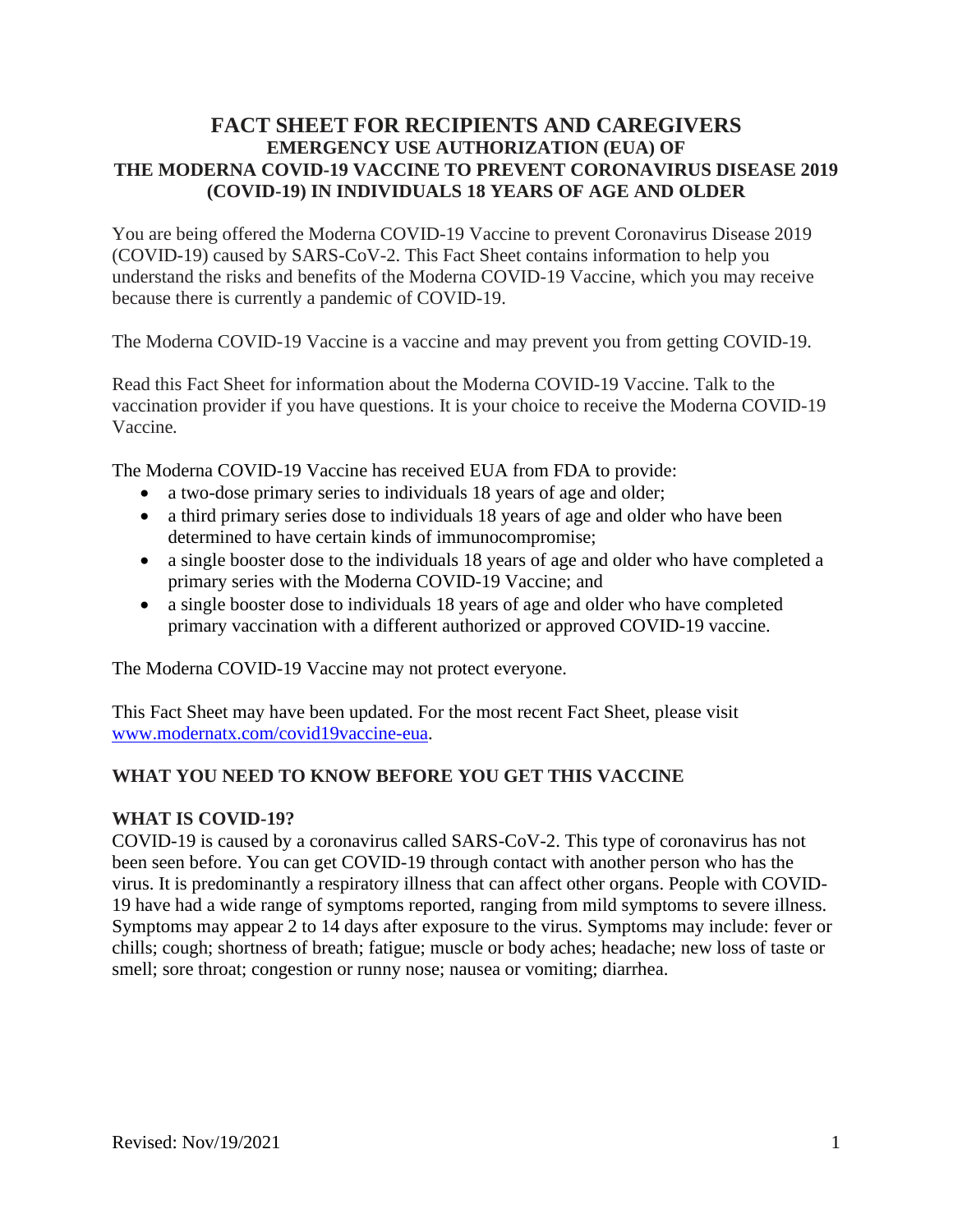# **FACT SHEET FOR RECIPIENTS AND CAREGIVERS EMERGENCY USE AUTHORIZATION (EUA) OF THE MODERNA COVID-19 VACCINE TO PREVENT CORONAVIRUS DISEASE 2019 (COVID-19) IN INDIVIDUALS 18 YEARS OF AGE AND OLDER**

You are being offered the Moderna COVID-19 Vaccine to prevent Coronavirus Disease 2019 (COVID-19) caused by SARS-CoV-2. This Fact Sheet contains information to help you understand the risks and benefits of the Moderna COVID-19 Vaccine, which you may receive because there is currently a pandemic of COVID-19.

The Moderna COVID-19 Vaccine is a vaccine and may prevent you from getting COVID-19.

Read this Fact Sheet for information about the Moderna COVID-19 Vaccine. Talk to the vaccination provider if you have questions. It is your choice to receive the Moderna COVID-19 Vaccine*.*

The Moderna COVID-19 Vaccine has received EUA from FDA to provide:

- a two-dose primary series to individuals 18 years of age and older;
- a third primary series dose to individuals 18 years of age and older who have been determined to have certain kinds of immunocompromise;
- a single booster dose to the individuals 18 years of age and older who have completed a primary series with the Moderna COVID-19 Vaccine; and
- a single booster dose to individuals 18 years of age and older who have completed primary vaccination with a different authorized or approved COVID-19 vaccine.

The Moderna COVID-19 Vaccine may not protect everyone.

This Fact Sheet may have been updated. For the most recent Fact Sheet, please visit www.modernatx.com/covid19vaccine-eua.

## **WHAT YOU NEED TO KNOW BEFORE YOU GET THIS VACCINE**

#### **WHAT IS COVID-19?**

COVID-19 is caused by a coronavirus called SARS-CoV-2. This type of coronavirus has not been seen before. You can get COVID-19 through contact with another person who has the virus. It is predominantly a respiratory illness that can affect other organs. People with COVID-19 have had a wide range of symptoms reported, ranging from mild symptoms to severe illness. Symptoms may appear 2 to 14 days after exposure to the virus. Symptoms may include: fever or chills; cough; shortness of breath; fatigue; muscle or body aches; headache; new loss of taste or smell; sore throat; congestion or runny nose; nausea or vomiting; diarrhea.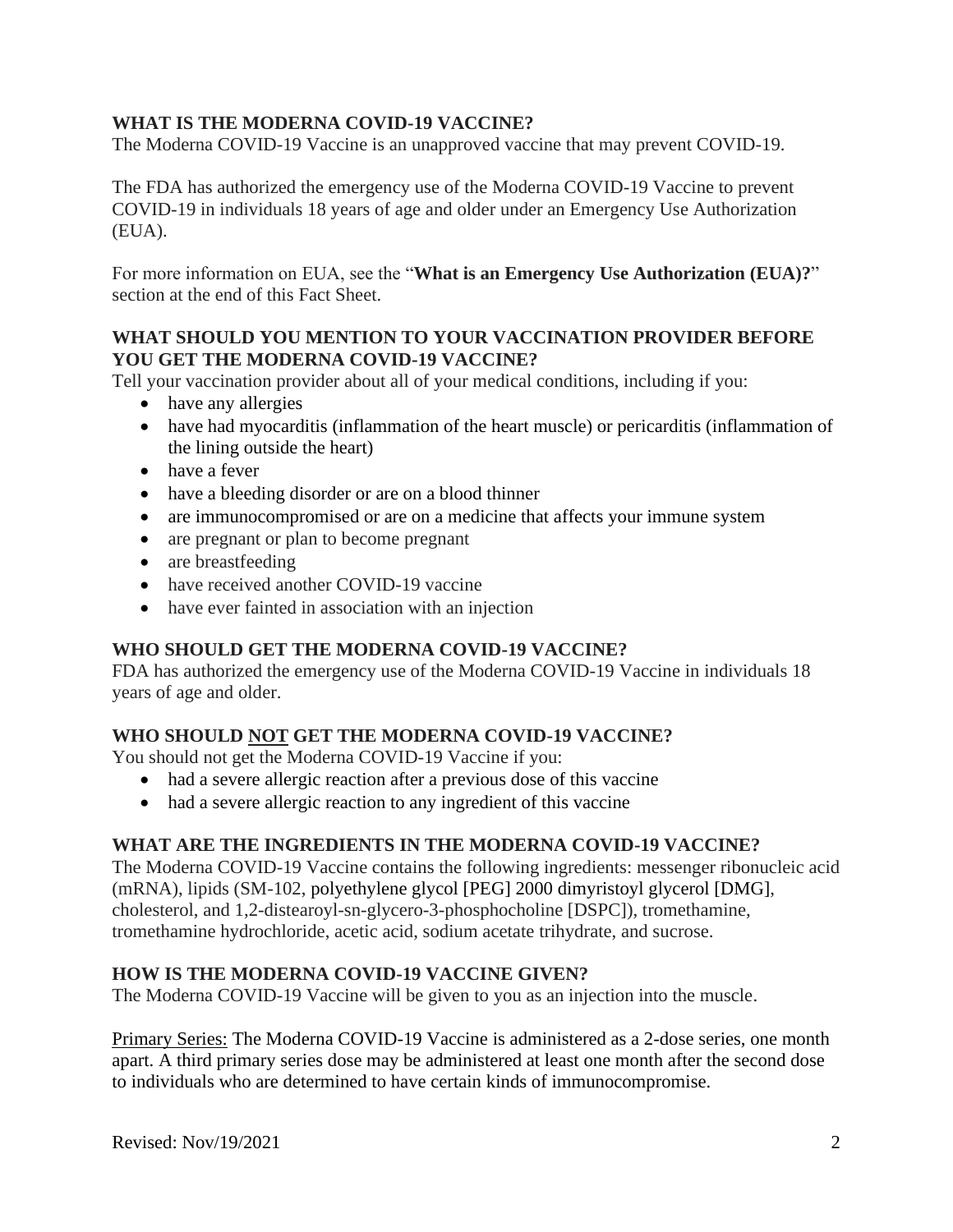## **WHAT IS THE MODERNA COVID-19 VACCINE?**

The Moderna COVID-19 Vaccine is an unapproved vaccine that may prevent COVID-19.

The FDA has authorized the emergency use of the Moderna COVID-19 Vaccine to prevent COVID-19 in individuals 18 years of age and older under an Emergency Use Authorization (EUA).

For more information on EUA, see the "**What is an Emergency Use Authorization (EUA)?**" section at the end of this Fact Sheet.

#### **WHAT SHOULD YOU MENTION TO YOUR VACCINATION PROVIDER BEFORE YOU GET THE MODERNA COVID-19 VACCINE?**

Tell your vaccination provider about all of your medical conditions, including if you:

- have any allergies
- have had myocarditis (inflammation of the heart muscle) or pericarditis (inflammation of the lining outside the heart)
- have a fever
- have a bleeding disorder or are on a blood thinner
- are immunocompromised or are on a medicine that affects your immune system
- are pregnant or plan to become pregnant
- are breastfeeding
- have received another COVID-19 vaccine
- have ever fainted in association with an injection

## **WHO SHOULD GET THE MODERNA COVID-19 VACCINE?**

FDA has authorized the emergency use of the Moderna COVID-19 Vaccine in individuals 18 years of age and older.

## **WHO SHOULD NOT GET THE MODERNA COVID-19 VACCINE?**

You should not get the Moderna COVID-19 Vaccine if you:

- had a severe allergic reaction after a previous dose of this vaccine
- had a severe allergic reaction to any ingredient of this vaccine

#### **WHAT ARE THE INGREDIENTS IN THE MODERNA COVID-19 VACCINE?**

The Moderna COVID-19 Vaccine contains the following ingredients: messenger ribonucleic acid (mRNA), lipids (SM-102, polyethylene glycol [PEG] 2000 dimyristoyl glycerol [DMG], cholesterol, and 1,2-distearoyl-sn-glycero-3-phosphocholine [DSPC]), tromethamine, tromethamine hydrochloride, acetic acid, sodium acetate trihydrate, and sucrose.

#### **HOW IS THE MODERNA COVID-19 VACCINE GIVEN?**

The Moderna COVID-19 Vaccine will be given to you as an injection into the muscle.

Primary Series: The Moderna COVID-19 Vaccine is administered as a 2-dose series, one month apart. A third primary series dose may be administered at least one month after the second dose to individuals who are determined to have certain kinds of immunocompromise.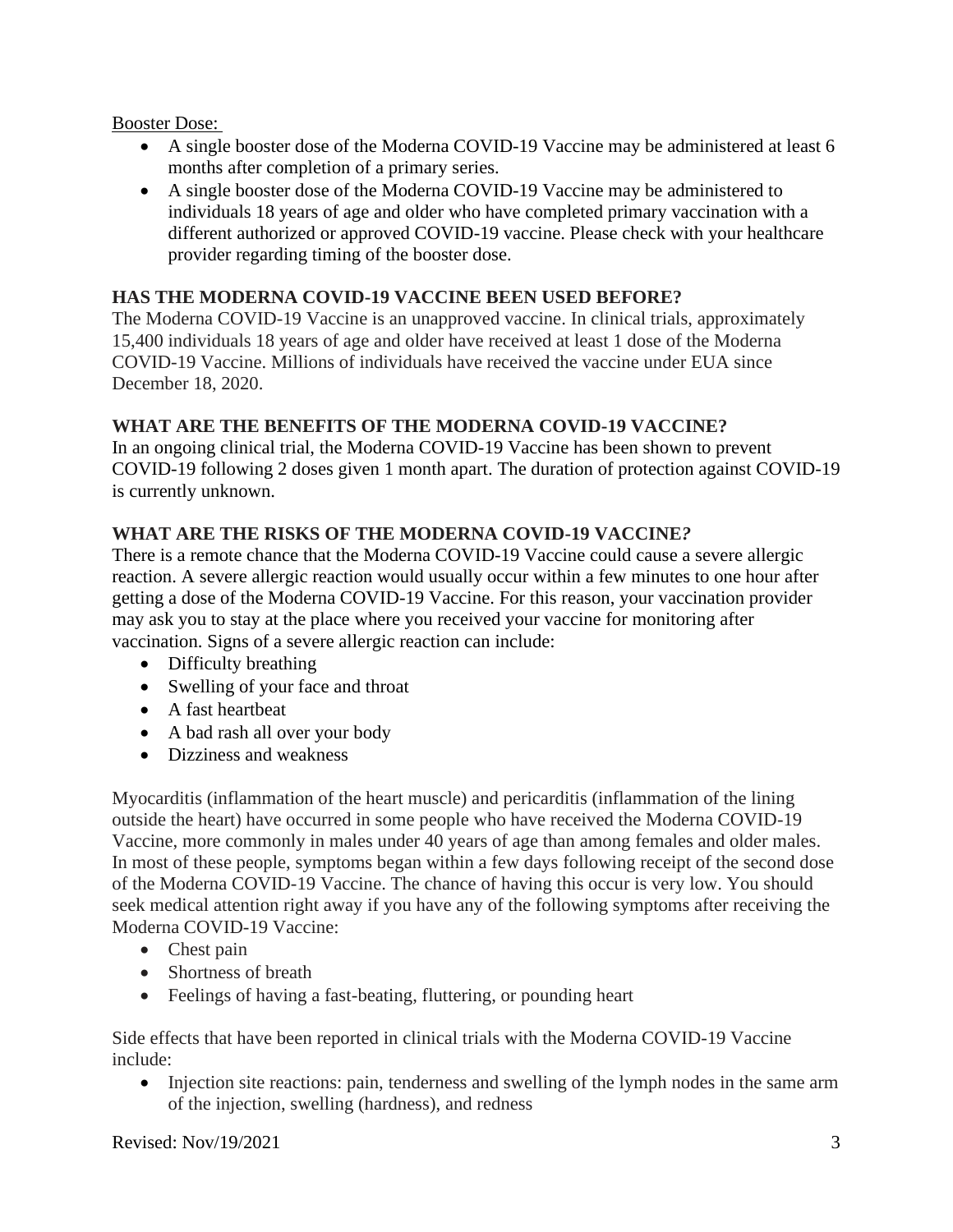## Booster Dose:

- A single booster dose of the Moderna COVID-19 Vaccine may be administered at least 6 months after completion of a primary series.
- A single booster dose of the Moderna COVID-19 Vaccine may be administered to individuals 18 years of age and older who have completed primary vaccination with a different authorized or approved COVID-19 vaccine. Please check with your healthcare provider regarding timing of the booster dose.

## **HAS THE MODERNA COVID-19 VACCINE BEEN USED BEFORE?**

The Moderna COVID-19 Vaccine is an unapproved vaccine. In clinical trials, approximately 15,400 individuals 18 years of age and older have received at least 1 dose of the Moderna COVID-19 Vaccine. Millions of individuals have received the vaccine under EUA since December 18, 2020.

## **WHAT ARE THE BENEFITS OF THE MODERNA COVID-19 VACCINE?**

In an ongoing clinical trial, the Moderna COVID-19 Vaccine has been shown to prevent COVID-19 following 2 doses given 1 month apart. The duration of protection against COVID-19 is currently unknown.

## **WHAT ARE THE RISKS OF THE MODERNA COVID-19 VACCINE***?*

There is a remote chance that the Moderna COVID-19 Vaccine could cause a severe allergic reaction. A severe allergic reaction would usually occur within a few minutes to one hour after getting a dose of the Moderna COVID-19 Vaccine. For this reason, your vaccination provider may ask you to stay at the place where you received your vaccine for monitoring after vaccination. Signs of a severe allergic reaction can include:

- Difficulty breathing
- Swelling of your face and throat
- A fast heartbeat
- A bad rash all over your body
- Dizziness and weakness

Myocarditis (inflammation of the heart muscle) and pericarditis (inflammation of the lining outside the heart) have occurred in some people who have received the Moderna COVID-19 Vaccine, more commonly in males under 40 years of age than among females and older males. In most of these people, symptoms began within a few days following receipt of the second dose of the Moderna COVID-19 Vaccine. The chance of having this occur is very low. You should seek medical attention right away if you have any of the following symptoms after receiving the Moderna COVID-19 Vaccine:

- Chest pain
- Shortness of breath
- Feelings of having a fast-beating, fluttering, or pounding heart

Side effects that have been reported in clinical trials with the Moderna COVID-19 Vaccine include:

• Injection site reactions: pain, tenderness and swelling of the lymph nodes in the same arm of the injection, swelling (hardness), and redness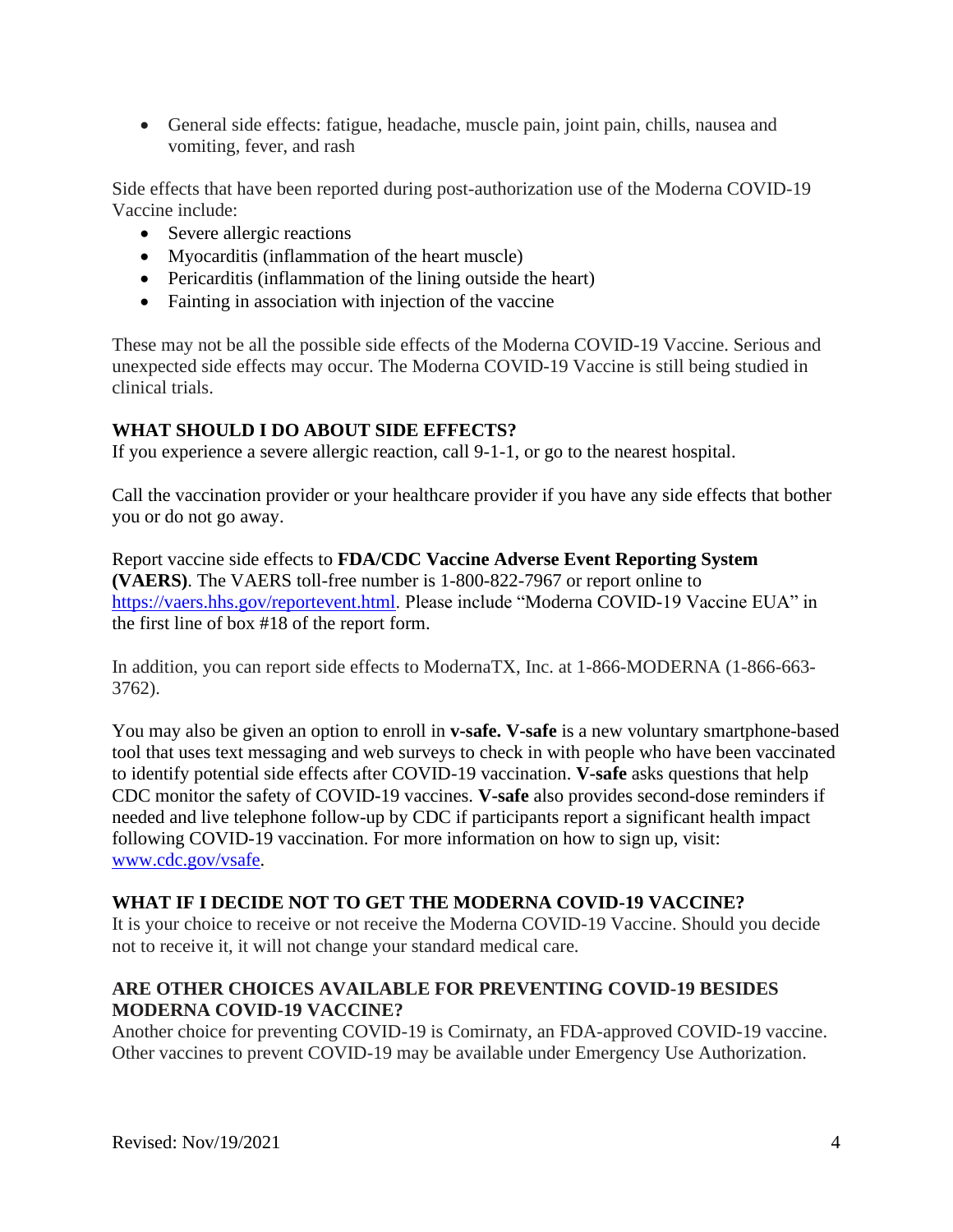• General side effects: fatigue, headache, muscle pain, joint pain, chills, nausea and vomiting, fever, and rash

Side effects that have been reported during post-authorization use of the Moderna COVID-19 Vaccine include:

- Severe allergic reactions
- Myocarditis (inflammation of the heart muscle)
- Pericarditis (inflammation of the lining outside the heart)
- Fainting in association with injection of the vaccine

These may not be all the possible side effects of the Moderna COVID-19 Vaccine. Serious and unexpected side effects may occur. The Moderna COVID-19 Vaccine is still being studied in clinical trials.

# **WHAT SHOULD I DO ABOUT SIDE EFFECTS?**

If you experience a severe allergic reaction, call 9-1-1, or go to the nearest hospital.

Call the vaccination provider or your healthcare provider if you have any side effects that bother you or do not go away.

Report vaccine side effects to **FDA/CDC Vaccine Adverse Event Reporting System (VAERS)**. The VAERS toll-free number is 1-800-822-7967 or report online to https://vaers.hhs.gov/reportevent.html. Please include "Moderna COVID-19 Vaccine EUA" in the first line of box #18 of the report form.

In addition, you can report side effects to ModernaTX, Inc. at 1-866-MODERNA (1-866-663- 3762).

You may also be given an option to enroll in **v-safe. V-safe** is a new voluntary smartphone-based tool that uses text messaging and web surveys to check in with people who have been vaccinated to identify potential side effects after COVID-19 vaccination. **V-safe** asks questions that help CDC monitor the safety of COVID-19 vaccines. **V-safe** also provides second-dose reminders if needed and live telephone follow-up by CDC if participants report a significant health impact following COVID-19 vaccination. For more information on how to sign up, visit: www.cdc.gov/vsafe.

## **WHAT IF I DECIDE NOT TO GET THE MODERNA COVID-19 VACCINE?**

It is your choice to receive or not receive the Moderna COVID-19 Vaccine. Should you decide not to receive it, it will not change your standard medical care.

## **ARE OTHER CHOICES AVAILABLE FOR PREVENTING COVID-19 BESIDES MODERNA COVID-19 VACCINE?**

Another choice for preventing COVID-19 is Comirnaty, an FDA-approved COVID-19 vaccine. Other vaccines to prevent COVID-19 may be available under Emergency Use Authorization.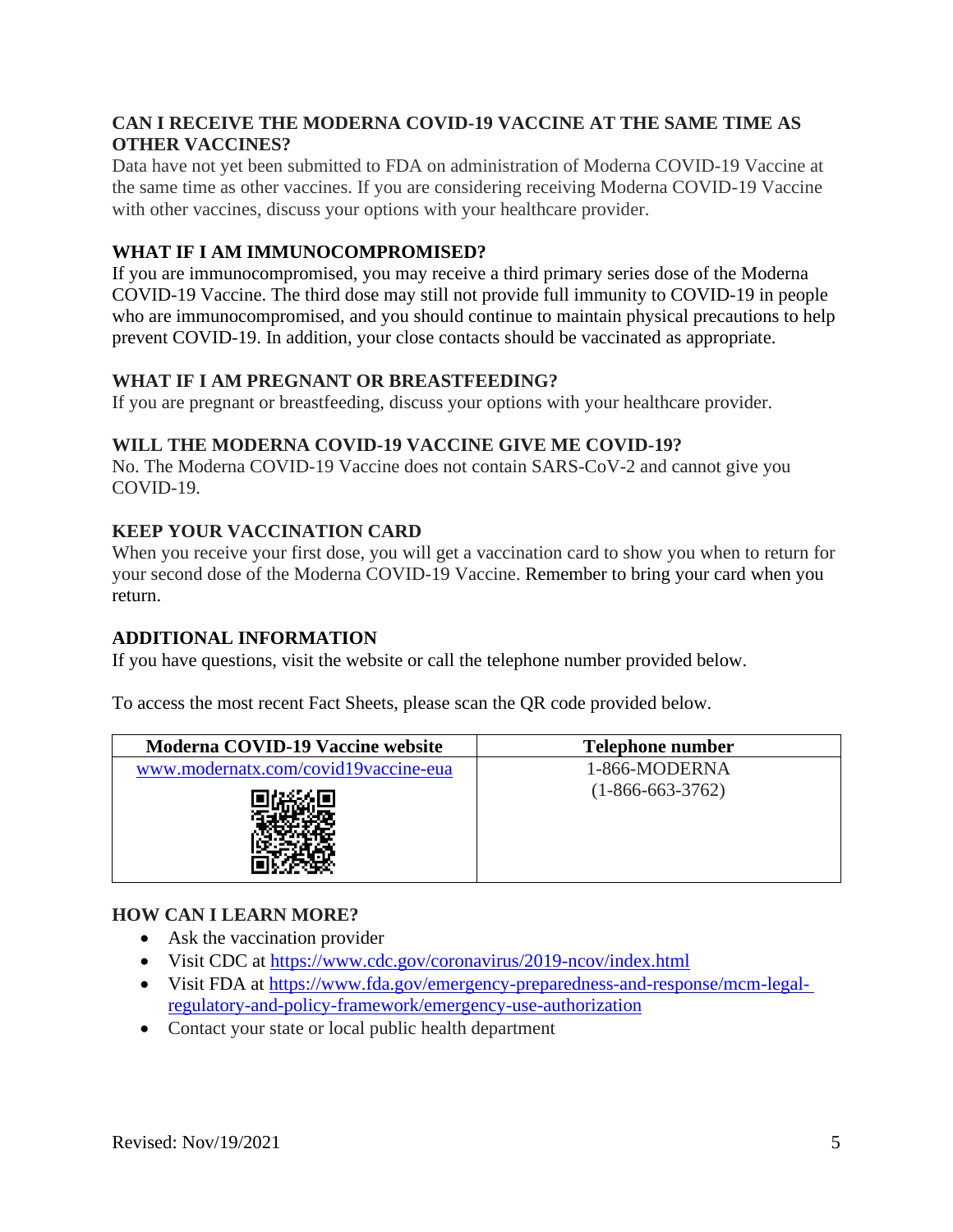## **CAN I RECEIVE THE MODERNA COVID-19 VACCINE AT THE SAME TIME AS OTHER VACCINES?**

Data have not yet been submitted to FDA on administration of Moderna COVID-19 Vaccine at the same time as other vaccines. If you are considering receiving Moderna COVID-19 Vaccine with other vaccines, discuss your options with your healthcare provider.

# **WHAT IF I AM IMMUNOCOMPROMISED?**

If you are immunocompromised, you may receive a third primary series dose of the Moderna COVID-19 Vaccine. The third dose may still not provide full immunity to COVID-19 in people who are immunocompromised, and you should continue to maintain physical precautions to help prevent COVID-19. In addition, your close contacts should be vaccinated as appropriate.

## **WHAT IF I AM PREGNANT OR BREASTFEEDING?**

If you are pregnant or breastfeeding, discuss your options with your healthcare provider.

## **WILL THE MODERNA COVID-19 VACCINE GIVE ME COVID-19?**

No. The Moderna COVID-19 Vaccine does not contain SARS-CoV-2 and cannot give you COVID-19.

# **KEEP YOUR VACCINATION CARD**

When you receive your first dose, you will get a vaccination card to show you when to return for your second dose of the Moderna COVID-19 Vaccine. Remember to bring your card when you return.

## **ADDITIONAL INFORMATION**

If you have questions, visit the website or call the telephone number provided below.

To access the most recent Fact Sheets, please scan the QR code provided below.

| Moderna COVID-19 Vaccine website     | Telephone number   |
|--------------------------------------|--------------------|
| www.modernatx.com/covid19vaccine-eua | 1-866-MODERNA      |
|                                      | $(1-866-663-3762)$ |

## **HOW CAN I LEARN MORE?**

- Ask the vaccination provider
- Visit CDC at https://www.cdc.gov/coronavirus/2019-ncov/index.html
- Visit FDA at https://www.fda.gov/emergency-preparedness-and-response/mcm-legalregulatory-and-policy-framework/emergency-use-authorization
- Contact your state or local public health department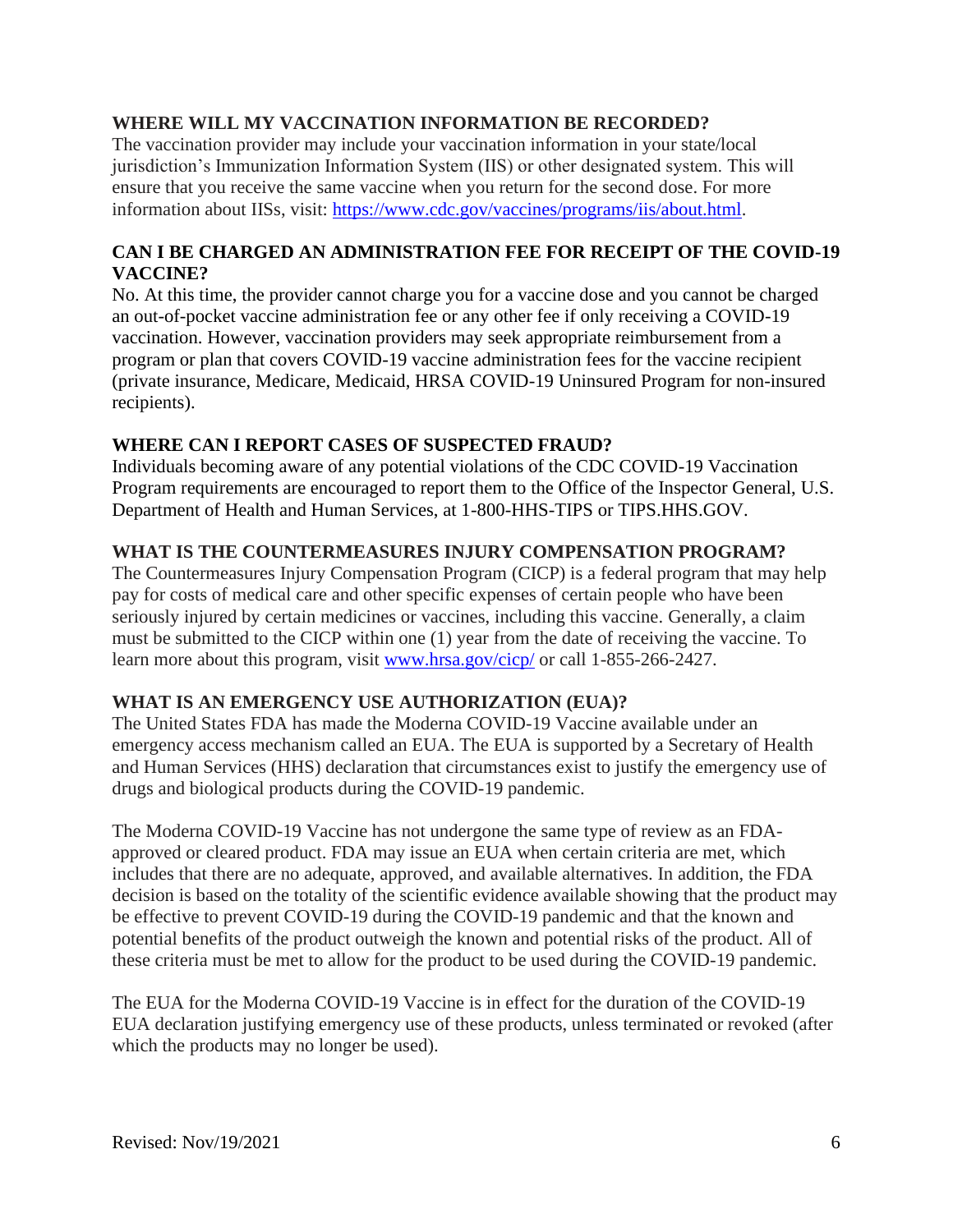#### **WHERE WILL MY VACCINATION INFORMATION BE RECORDED?**

The vaccination provider may include your vaccination information in your state/local jurisdiction's Immunization Information System (IIS) or other designated system. This will ensure that you receive the same vaccine when you return for the second dose. For more information about IISs, visit: https://www.cdc.gov/vaccines/programs/iis/about.html.

## **CAN I BE CHARGED AN ADMINISTRATION FEE FOR RECEIPT OF THE COVID-19 VACCINE?**

No. At this time, the provider cannot charge you for a vaccine dose and you cannot be charged an out-of-pocket vaccine administration fee or any other fee if only receiving a COVID-19 vaccination. However, vaccination providers may seek appropriate reimbursement from a program or plan that covers COVID-19 vaccine administration fees for the vaccine recipient (private insurance, Medicare, Medicaid, HRSA COVID-19 Uninsured Program for non-insured recipients).

#### **WHERE CAN I REPORT CASES OF SUSPECTED FRAUD?**

Individuals becoming aware of any potential violations of the CDC COVID-19 Vaccination Program requirements are encouraged to report them to the Office of the Inspector General, U.S. Department of Health and Human Services, at 1-800-HHS-TIPS or TIPS.HHS.GOV.

#### **WHAT IS THE COUNTERMEASURES INJURY COMPENSATION PROGRAM?**

The Countermeasures Injury Compensation Program (CICP) is a federal program that may help pay for costs of medical care and other specific expenses of certain people who have been seriously injured by certain medicines or vaccines, including this vaccine. Generally, a claim must be submitted to the CICP within one (1) year from the date of receiving the vaccine. To learn more about this program, visit www.hrsa.gov/cicp/ or call 1-855-266-2427.

## **WHAT IS AN EMERGENCY USE AUTHORIZATION (EUA)?**

The United States FDA has made the Moderna COVID-19 Vaccine available under an emergency access mechanism called an EUA. The EUA is supported by a Secretary of Health and Human Services (HHS) declaration that circumstances exist to justify the emergency use of drugs and biological products during the COVID-19 pandemic.

The Moderna COVID-19 Vaccine has not undergone the same type of review as an FDAapproved or cleared product. FDA may issue an EUA when certain criteria are met, which includes that there are no adequate, approved, and available alternatives. In addition, the FDA decision is based on the totality of the scientific evidence available showing that the product may be effective to prevent COVID-19 during the COVID-19 pandemic and that the known and potential benefits of the product outweigh the known and potential risks of the product. All of these criteria must be met to allow for the product to be used during the COVID-19 pandemic.

The EUA for the Moderna COVID-19 Vaccine is in effect for the duration of the COVID-19 EUA declaration justifying emergency use of these products, unless terminated or revoked (after which the products may no longer be used).